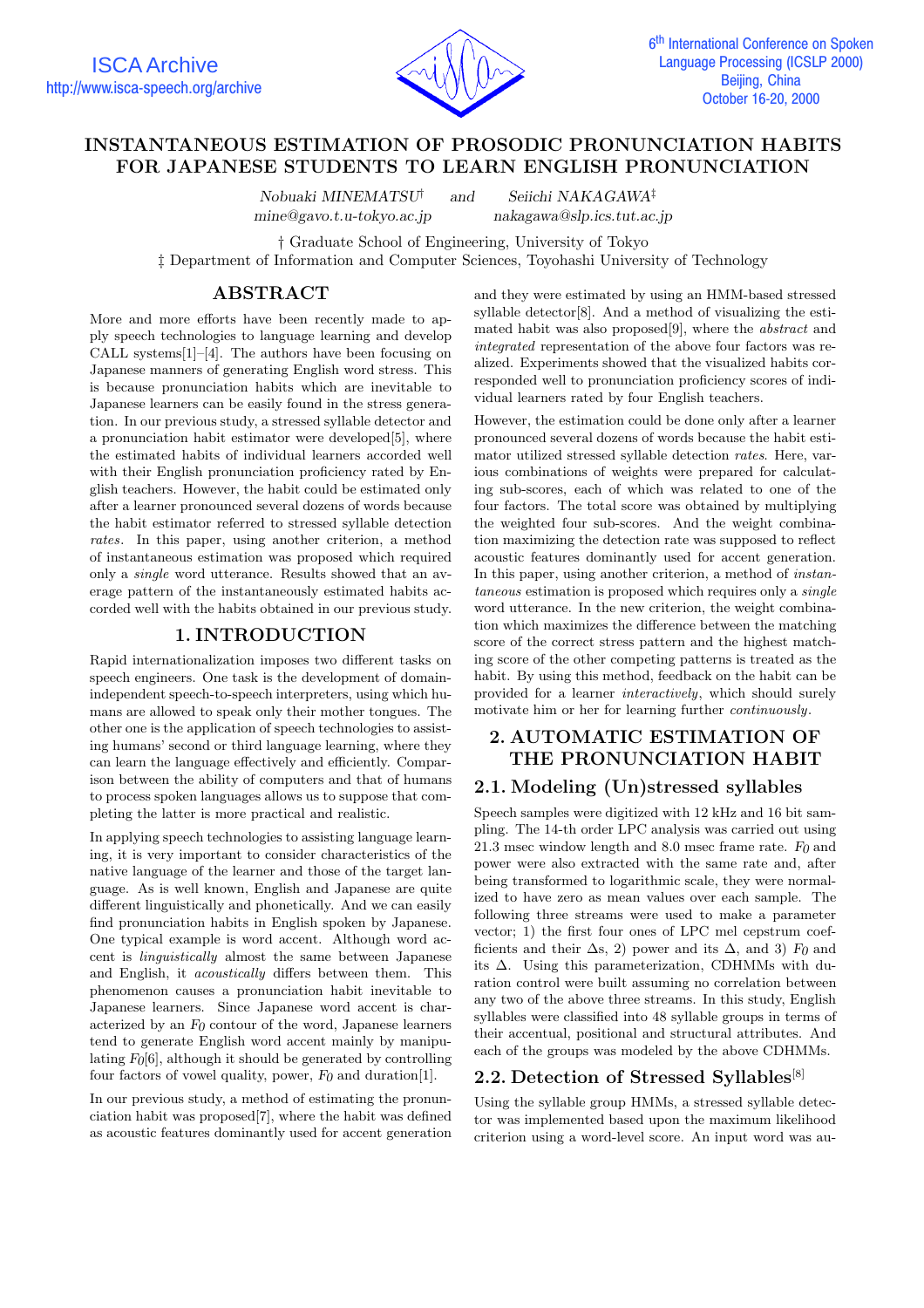

# **INSTANTANEOUS ESTIMATION OF PROSODIC PRONUNCIATION HABITS FOR JAPANESE STUDENTS TO LEARN ENGLISH PRONUNCIATION**

*Nobuaki MINEMATSU*† *and Seiichi NAKAGAWA*‡ *mine@gavo.t.u-tokyo.ac.jp makagawa@slp.ics.tut.ac.jp* 

† Graduate School of Engineering, University of Tokyo

‡ Department of Information and Computer Sciences, Toyohashi University of Technology

## **ABSTRACT**

More and more efforts have been recently made to apply speech technologies to language learning and develop CALL systems[1]–[4]. The authors have been focusing on Japanese manners of generating English word stress. This is because pronunciation habits which are inevitable to Japanese learners can be easily found in the stress generation. In our previous study, a stressed syllable detector and a pronunciation habit estimator were developed[5], where the estimated habits of individual learners accorded well with their English pronunciation proficiency rated by English teachers. However, the habit could be estimated only after a learner pronounced several dozens of words because the habit estimator referred to stressed syllable detection rates. In this paper, using another criterion, a method of instantaneous estimation was proposed which required only a single word utterance. Results showed that an average pattern of the instantaneously estimated habits accorded well with the habits obtained in our previous study.

## **1. INTRODUCTION**

Rapid internationalization imposes two different tasks on speech engineers. One task is the development of domainindependent speech-to-speech interpreters, using which humans are allowed to speak only their mother tongues. The other one is the application of speech technologies to assisting humans' second or third language learning, where they can learn the language effectively and efficiently. Comparison between the ability of computers and that of humans to process spoken languages allows us to suppose that completing the latter is more practical and realistic.

In applying speech technologies to assisting language learning, it is very important to consider characteristics of the native language of the learner and those of the target language. As is well known, English and Japanese are quite different linguistically and phonetically. And we can easily find pronunciation habits in English spoken by Japanese. One typical example is word accent. Although word accent is linguistically almost the same between Japanese and English, it acoustically differs between them. This phenomenon causes a pronunciation habit inevitable to Japanese learners. Since Japanese word accent is characterized by an *F0* contour of the word, Japanese learners tend to generate English word accent mainly by manipulating *F0*[6], although it should be generated by controlling four factors of vowel quality, power, *F0* and duration[1].

In our previous study, a method of estimating the pronunciation habit was proposed[7], where the habit was defined as acoustic features dominantly used for accent generation and they were estimated by using an HMM-based stressed syllable detector[8]. And a method of visualizing the estimated habit was also proposed[9], where the abstract and integrated representation of the above four factors was realized. Experiments showed that the visualized habits corresponded well to pronunciation proficiency scores of individual learners rated by four English teachers.

However, the estimation could be done only after a learner pronounced several dozens of words because the habit estimator utilized stressed syllable detection rates. Here, various combinations of weights were prepared for calculating sub-scores, each of which was related to one of the four factors. The total score was obtained by multiplying the weighted four sub-scores. And the weight combination maximizing the detection rate was supposed to reflect acoustic features dominantly used for accent generation. In this paper, using another criterion, a method of *instan*taneous estimation is proposed which requires only a single word utterance. In the new criterion, the weight combination which maximizes the difference between the matching score of the correct stress pattern and the highest matching score of the other competing patterns is treated as the habit. By using this method, feedback on the habit can be provided for a learner interactively, which should surely motivate him or her for learning further continuously.

# **2. AUTOMATIC ESTIMATION OF THE PRONUNCIATION HABIT**

# **2.1. Modeling (Un)stressed syllables**

Speech samples were digitized with 12 kHz and 16 bit sampling. The 14-th order LPC analysis was carried out using 21.3 msec window length and 8.0 msec frame rate.  $F_0$  and power were also extracted with the same rate and, after being transformed to logarithmic scale, they were normalized to have zero as mean values over each sample. The following three streams were used to make a parameter vector; 1) the first four ones of LPC mel cepstrum coefficients and their  $\Delta$ s, 2) power and its  $\Delta$ , and 3) *F*<sup>0</sup> and its ∆. Using this parameterization, CDHMMs with duration control were built assuming no correlation between any two of the above three streams. In this study, English syllables were classified into 48 syllable groups in terms of their accentual, positional and structural attributes. And each of the groups was modeled by the above CDHMMs.

# **2.2. Detection of Stressed Syllables**[8]

Using the syllable group HMMs, a stressed syllable detector was implemented based upon the maximum likelihood criterion using a word-level score. An input word was au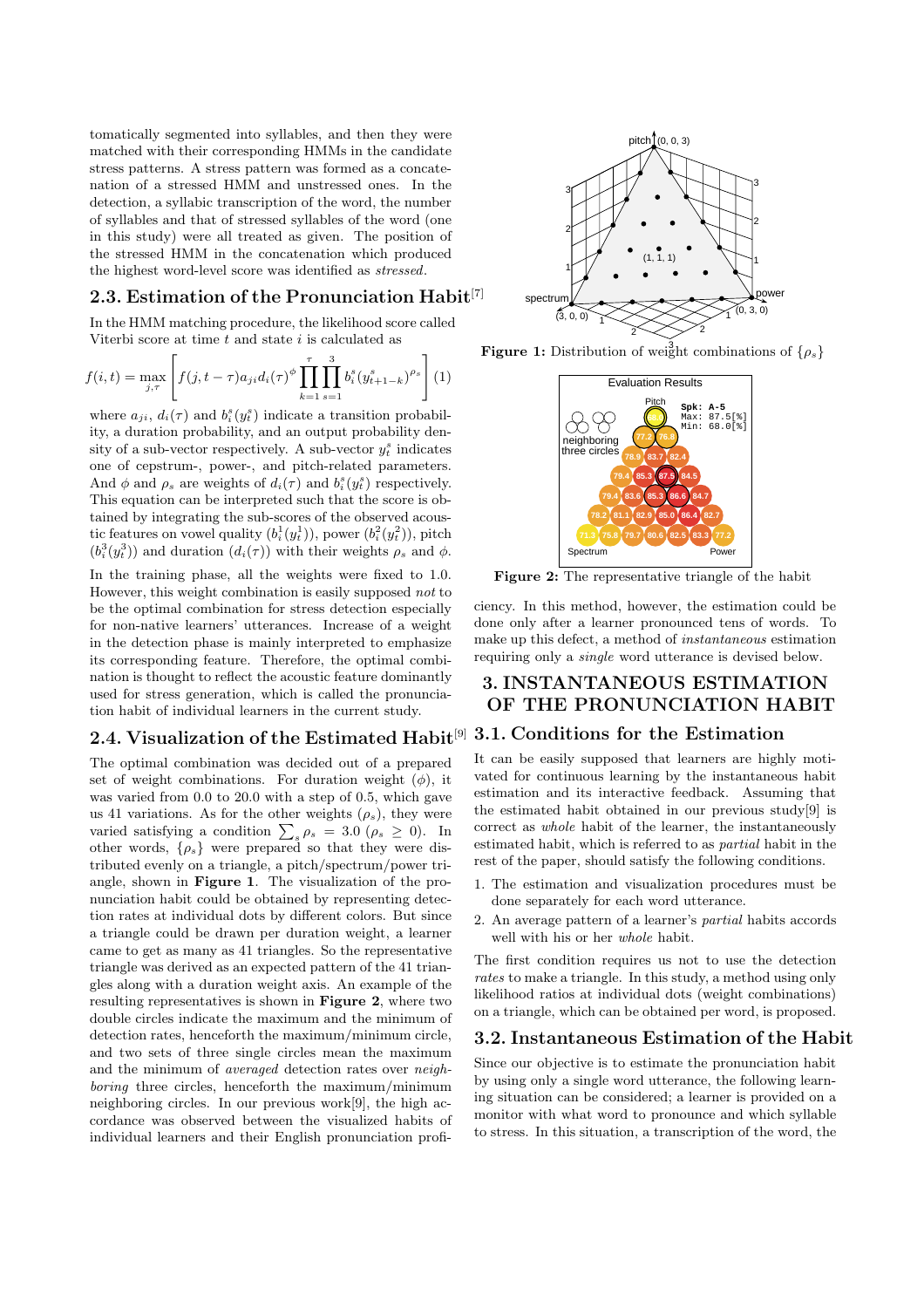tomatically segmented into syllables, and then they were matched with their corresponding HMMs in the candidate stress patterns. A stress pattern was formed as a concatenation of a stressed HMM and unstressed ones. In the detection, a syllabic transcription of the word, the number of syllables and that of stressed syllables of the word (one in this study) were all treated as given. The position of the stressed HMM in the concatenation which produced the highest word-level score was identified as stressed.

## **2.3. Estimation of the Pronunciation Habit**[7]

In the HMM matching procedure, the likelihood score called Viterbi score at time  $t$  and state  $i$  is calculated as

$$
f(i,t) = \max_{j,\tau} \left[ f(j,t-\tau)a_{ji}d_i(\tau)^{\phi} \prod_{k=1}^{\tau} \prod_{s=1}^{3} b_i^s (y_{t+1-k}^s)^{\rho_s} \right] (1)
$$

where  $a_{ji}$ ,  $d_i(\tau)$  and  $b_i^s(y_t^s)$  indicate a transition probability, a duration probability, and an output probability density of a sub-vector respectively. A sub-vector  $y_t^s$  indicates one of cepstrum-, power-, and pitch-related parameters. And  $\phi$  and  $\rho_s$  are weights of  $d_i(\tau)$  and  $b_i^s(y_i^s)$  respectively. This equation can be interpreted such that the score is obtained by integrating the sub-scores of the observed acoustic features on vowel quality  $(b_i^1(y_t^1))$ , power  $(b_i^2(y_t^2))$ , pitch  $(b_i^3(y_i^3))$  and duration  $(d_i(\tau))$  with their weights  $\rho_s$  and  $\phi$ .

In the training phase, all the weights were fixed to 1.0. However, this weight combination is easily supposed not to be the optimal combination for stress detection especially for non-native learners' utterances. Increase of a weight in the detection phase is mainly interpreted to emphasize its corresponding feature. Therefore, the optimal combination is thought to reflect the acoustic feature dominantly used for stress generation, which is called the pronunciation habit of individual learners in the current study.

# **2.4. Visualization of the Estimated Habit**[9] **3.1. Conditionsfor the Estimation**

The optimal combination was decided out of a prepared set of weight combinations. For duration weight  $(\phi)$ , it was varied from 0.0 to 20.0 with a step of 0.5, which gave us 41 variations. As for the other weights  $(\rho_s)$ , they were varied satisfying a condition  $\sum_{s} \rho_s = 3.0 \; (\rho_s \geq 0)$ . In other words,  $\{\rho_s\}$  were prepared so that they were distributed evenly on a triangle, a pitch/spectrum/power triangle, shown in **Figure 1**. The visualization of the pronunciation habit could be obtained by representing detection rates at individual dots by different colors. But since a triangle could be drawn per duration weight, a learner came to get as many as 41 triangles. So the representative triangle was derived as an expected pattern of the 41 triangles along with a duration weight axis. An example of the resulting representatives is shown in **Figure 2**, where two double circles indicate the maximum and the minimum of detection rates, henceforth the maximum/minimum circle, and two sets of three single circles mean the maximum and the minimum of averaged detection rates over neighboring three circles, henceforth the maximum/minimum neighboring circles. In our previous work[9], the high accordance was observed between the visualized habits of individual learners and their English pronunciation profi-



**Figure 1:** Distribution of weight combinations of  $\{\rho_s\}$ 



**Figure 2:** The representative triangle of the habit

ciency. In this method, however, the estimation could be done only after a learner pronounced tens of words. To make up this defect, a method of instantaneous estimation requiring only a single word utterance is devised below.

# **3. INSTANTANEOUS ESTIMATION OF THE PRONUNCIATION HABIT**

It can be easily supposed that learners are highly motivated for continuous learning by the instantaneous habit estimation and its interactive feedback. Assuming that the estimated habit obtained in our previous study[9] is correct as whole habit of the learner, the instantaneously estimated habit, which is referred to as partial habit in the rest of the paper, should satisfy the following conditions.

- 1. The estimation and visualization procedures must be done separately for each word utterance.
- 2. An average pattern of a learner's partial habits accords well with his or her whole habit.

The first condition requires us not to use the detection rates to make a triangle. In this study, a method using only likelihood ratios at individual dots (weight combinations) on a triangle, which can be obtained per word, is proposed.

#### **3.2. Instantaneous Estimation of the Habit**

Since our objective is to estimate the pronunciation habit by using only a single word utterance, the following learning situation can be considered; a learner is provided on a monitor with what word to pronounce and which syllable to stress. In this situation, a transcription of the word, the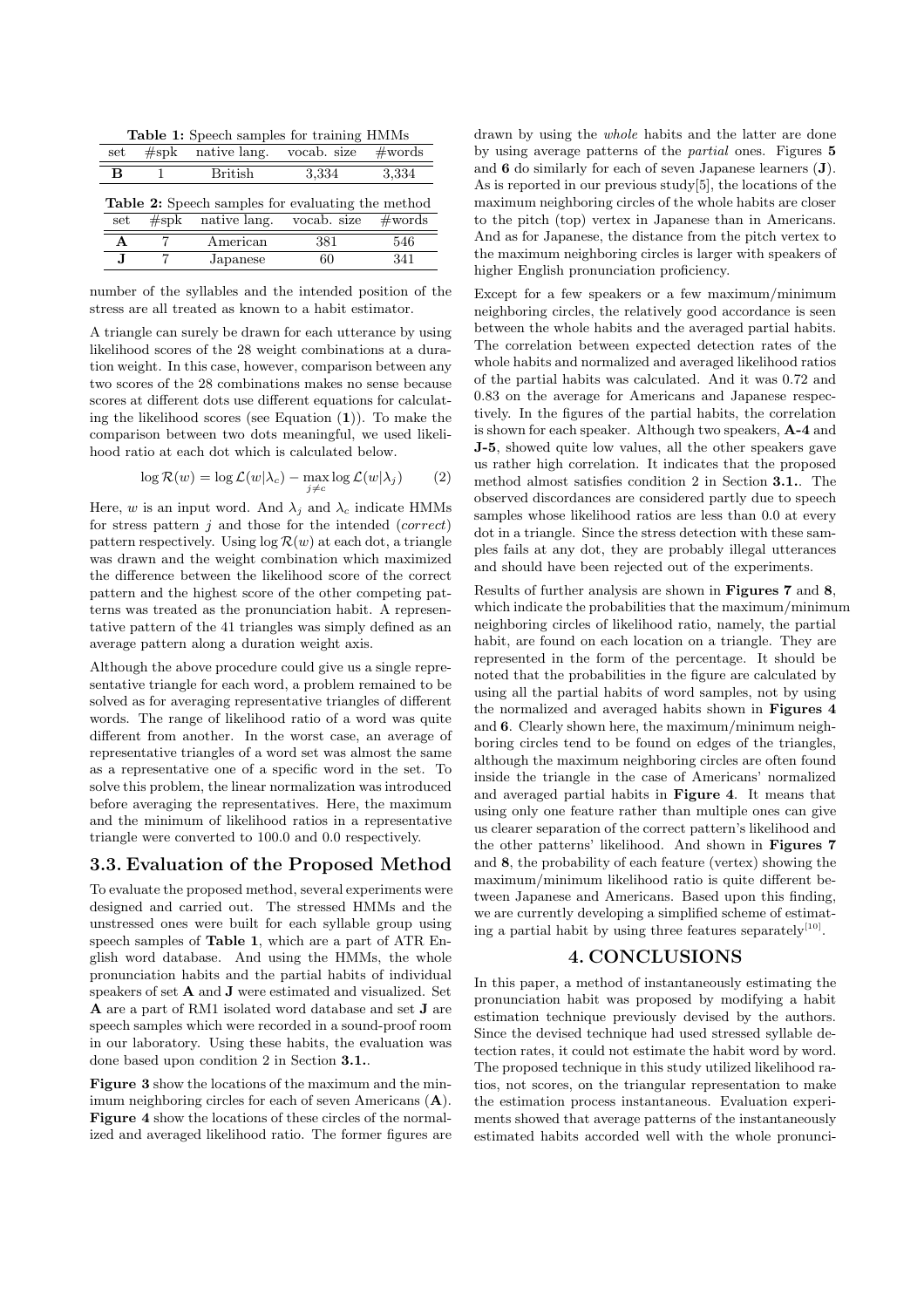**Table 1:** Speech samples for training HMMs

| set                                                                                                                          | $#$ spk | native lang. | vocab. size | $\#\text{words}$ |
|------------------------------------------------------------------------------------------------------------------------------|---------|--------------|-------------|------------------|
| в                                                                                                                            |         | British      | 3,334       | 3,334            |
| <b>Table 2:</b> Speech samples for evaluating the method<br>native lang. vocab. size<br>$\#\mathrm{words}$<br>$#$ spk<br>set |         |              |             |                  |
| А                                                                                                                            |         | American     | 381         | 546              |
| .J                                                                                                                           |         | Japanese     | 60          | 341              |

number of the syllables and the intended position of the stress are all treated as known to a habit estimator.

A triangle can surely be drawn for each utterance by using likelihood scores of the 28 weight combinations at a duration weight. In this case, however, comparison between any two scores of the 28 combinations makes no sense because scores at different dots use different equations for calculating the likelihood scores (see Equation (**1**)). To make the comparison between two dots meaningful, we used likelihood ratio at each dot which is calculated below.

$$
\log \mathcal{R}(w) = \log \mathcal{L}(w|\lambda_c) - \max_{j \neq c} \log \mathcal{L}(w|\lambda_j)
$$
 (2)

Here, w is an input word. And  $\lambda_j$  and  $\lambda_c$  indicate HMMs for stress pattern  $j$  and those for the intended (*correct*) pattern respectively. Using  $log R(w)$  at each dot, a triangle was drawn and the weight combination which maximized the difference between the likelihood score of the correct pattern and the highest score of the other competing patterns was treated as the pronunciation habit. A representative pattern of the 41 triangles was simply defined as an average pattern along a duration weight axis.

Although the above procedure could give us a single representative triangle for each word, a problem remained to be solved as for averaging representative triangles of different words. The range of likelihood ratio of a word was quite different from another. In the worst case, an average of representative triangles of a word set was almost the same as a representative one of a specific word in the set. To solve this problem, the linear normalization was introduced before averaging the representatives. Here, the maximum and the minimum of likelihood ratios in a representative triangle were converted to 100.0 and 0.0 respectively.

## **3.3. Evaluation of the Proposed Method**

To evaluate the proposed method, several experiments were designed and carried out. The stressed HMMs and the unstressed ones were built for each syllable group using speech samples of **Table 1**, which are a part of ATR English word database. And using the HMMs, the whole pronunciation habits and the partial habits of individual speakers of set **A** and **J** were estimated and visualized. Set **A** are a part of RM1 isolated word database and set **J** are speech samples which were recorded in a sound-proof room in our laboratory. Using these habits, the evaluation was done based upon condition 2 in Section **3.1.**.

**Figure 3** show the locations of the maximum and the minimum neighboring circles for each of seven Americans (**A**). **Figure 4** show the locations of these circles of the normalized and averaged likelihood ratio. The former figures are drawn by using the whole habits and the latter are done by using average patterns of the partial ones. Figures **5** and **6** do similarly for each of seven Japanese learners (**J**). As is reported in our previous study[5], the locations of the maximum neighboring circles of the whole habits are closer to the pitch (top) vertex in Japanese than in Americans. And as for Japanese, the distance from the pitch vertex to the maximum neighboring circles is larger with speakers of higher English pronunciation proficiency.

Except for a few speakers or a few maximum/minimum neighboring circles, the relatively good accordance is seen between the whole habits and the averaged partial habits. The correlation between expected detection rates of the whole habits and normalized and averaged likelihood ratios of the partial habits was calculated. And it was 0.72 and 0.83 on the average for Americans and Japanese respectively. In the figures of the partial habits, the correlation is shown for each speaker. Although two speakers, **A-4** and **J-5**, showed quite low values, all the other speakers gave us rather high correlation. It indicates that the proposed method almost satisfies condition 2 in Section 3.1. The observed discordances are considered partly due to speech samples whose likelihood ratios are less than 0.0 at every dot in a triangle. Since the stress detection with these samples fails at any dot, they are probably illegal utterances and should have been rejected out of the experiments.

Results of further analysis are shown in **Figures 7** and **8**, which indicate the probabilities that the maximum/minimum neighboring circles of likelihood ratio, namely, the partial habit, are found on each location on a triangle. They are represented in the form of the percentage. It should be noted that the probabilities in the figure are calculated by using all the partial habits of word samples, not by using the normalized and averaged habits shown in **Figures 4** and **6**. Clearly shown here, the maximum/minimum neighboring circles tend to be found on edges of the triangles, although the maximum neighboring circles are often found inside the triangle in the case of Americans' normalized and averaged partial habits in **Figure 4**. It means that using only one feature rather than multiple ones can give us clearer separation of the correct pattern's likelihood and the other patterns' likelihood. And shown in **Figures 7** and **8**, the probability of each feature (vertex) showing the maximum/minimum likelihood ratio is quite different between Japanese and Americans. Based upon this finding, we are currently developing a simplified scheme of estimating a partial habit by using three features separately $[10]$ .

#### **4. CONCLUSIONS**

In this paper, a method of instantaneously estimating the pronunciation habit was proposed by modifying a habit estimation technique previously devised by the authors. Since the devised technique had used stressed syllable detection rates, it could not estimate the habit word by word. The proposed technique in this study utilized likelihood ratios, not scores, on the triangular representation to make the estimation process instantaneous. Evaluation experiments showed that average patterns of the instantaneously estimated habits accorded well with the whole pronunci-